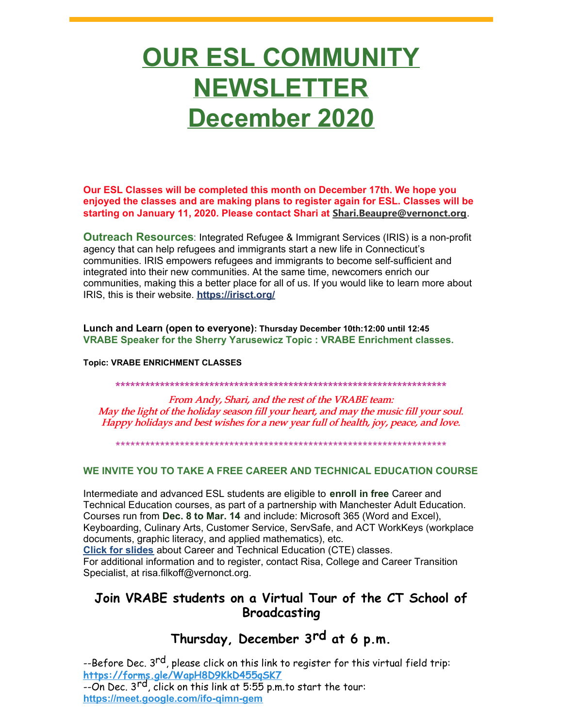# **OUR ESL COMMUNITY NEWSLETTER December 2020**

Our ESL Classes will be completed this month on December 17th. We hope you enjoyed the classes and are making plans to register again for ESL. Classes will be starting on January 11, 2020. Please contact Shari at Shari.Beaupre@vernonct.org.

Outreach Resources: Integrated Refugee & Immigrant Services (IRIS) is a non-profit agency that can help refugees and immigrants start a new life in Connecticut's communities. IRIS empowers refugees and immigrants to become self-sufficient and integrated into their new communities. At the same time, newcomers enrich our communities, making this a better place for all of us. If you would like to learn more about IRIS, this is their website. https://irisct.org/

Lunch and Learn (open to everyone): Thursday December 10th:12:00 until 12:45 VRABE Speaker for the Sherry Yarusewicz Topic: VRABE Enrichment classes.

**Topic: VRABE ENRICHMENT CLASSES** 

From Andy, Shari, and the rest of the VRABE team: May the light of the holiday season fill your heart, and may the music fill your soul. Happy holidays and best wishes for a new year full of health, joy, peace, and love.

#### WE INVITE YOU TO TAKE A FREE CAREER AND TECHNICAL EDUCATION COURSE

Intermediate and advanced ESL students are eligible to enroll in free Career and Technical Education courses, as part of a partnership with Manchester Adult Education. Courses run from Dec. 8 to Mar. 14 and include: Microsoft 365 (Word and Excel), Keyboarding, Culinary Arts, Customer Service, ServSafe, and ACT WorkKeys (workplace documents, graphic literacy, and applied mathematics), etc. Click for slides about Career and Technical Education (CTE) classes.

For additional information and to register, contact Risa, College and Career Transition Specialist, at risa.filkoff@vernonct.org.

## Join VRABE students on a Virtual Tour of the CT School of **Broadcasting**

## Thursday, December 3rd at 6 p.m.

--Before Dec. 3<sup>rd</sup>, please click on this link to register for this virtual field trip: https://forms.gle/WapH8D9KkD455gSK7<br>--On Dec. 3<sup>rd</sup>, click on this link at 5:55 p.m.to start the tour:

https://meet.google.com/ifo-gimn-gem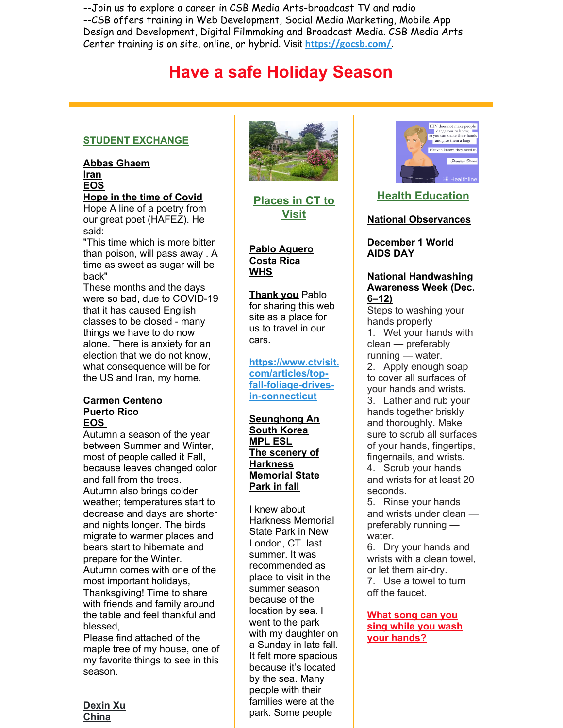--Join us to explore a career in CSB Media Arts-broadcast TV and radio --CSB offers training in Web Development, Social Media Marketing, Mobile App Design and Development, Digital Filmmaking and Broadcast Media. CSB Media Arts Center training is on site, online, or hybrid. Visit **https://gocsb.com/**.

# **Have a safe Holiday Season**

#### **STUDENT EXCHANGE**

**Abbas Ghaem Iran EOS**

**Hope in the time of Covid** Hope A line of a poetry from our great poet (HAFEZ). He said:

"This time which is more bitter than poison, will pass away . A time as sweet as sugar will be back"

These months and the days were so bad, due to COVID-19 that it has caused English classes to be closed - many things we have to do now alone. There is anxiety for an election that we do not know, what consequence will be for the US and Iran, my home.

#### **Carmen Centeno Puerto Rico EOS**

Autumn a season of the year between Summer and Winter, most of people called it Fall, because leaves changed color and fall from the trees. Autumn also brings colder weather; temperatures start to decrease and days are shorter and nights longer. The birds migrate to warmer places and bears start to hibernate and prepare for the Winter. Autumn comes with one of the most important holidays, Thanksgiving! Time to share with friends and family around the table and feel thankful and blessed,

Please find attached of the maple tree of my house, one of my favorite things to see in this season.





**Places in CT to Visit**

#### **Pablo Aguero Costa Rica WHS**

**Thank you** Pablo for sharing this web site as a place for us to travel in our cars.

**https://www.ctvisit. com/articles/topfall-foliage-drivesin-connecticut**

**Seunghong An South Korea MPL ESL The scenery of Harkness Memorial State Park in fall**

I knew about Harkness Memorial State Park in New London, CT. last summer. It was recommended as place to visit in the summer season because of the location by sea. I went to the park with my daughter on a Sunday in late fall. It felt more spacious because it's located by the sea. Many people with their families were at the park. Some people



### **Health Education**

#### **National Observances**

**December 1 World AIDS DAY**

#### **National Handwashing Awareness Week (Dec. 6–12)**

Steps to washing your hands properly 1. Wet your hands with clean — preferably running — water. 2. Apply enough soap to cover all surfaces of your hands and wrists. 3. Lather and rub your hands together briskly and thoroughly. Make sure to scrub all surfaces of your hands, fingertips, fingernails, and wrists. 4. Scrub your hands and wrists for at least 20 seconds. 5. Rinse your hands

and wrists under clean preferably running water.

6. Dry your hands and wrists with a clean towel, or let them air-dry. 7. Use a towel to turn off the faucet.

#### **What song can you sing while you wash your hands?**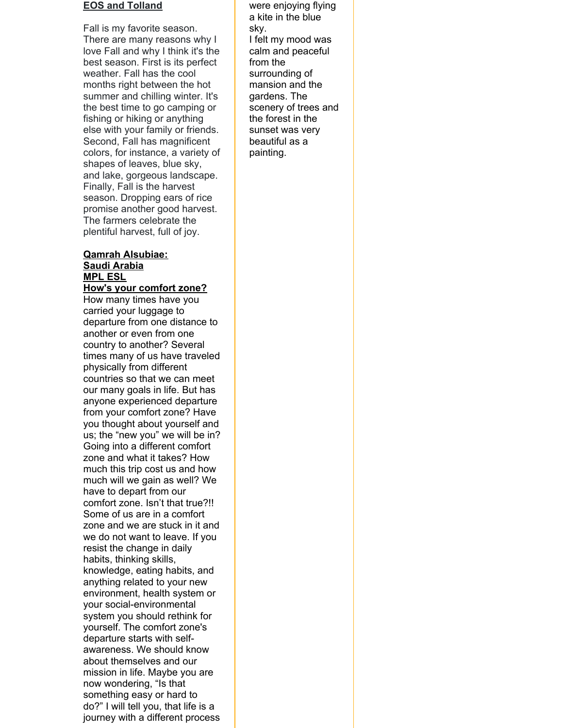#### **EOS and Tolland**

Fall is my favorite season. There are many reasons why I love Fall and why I think it's the best season. First is its perfect weather. Fall has the cool months right between the hot summer and chilling winter. It's the best time to go camping or fishing or hiking or anything else with your family or friends. Second, Fall has magnificent colors, for instance, a variety of shapes of leaves, blue sky, and lake, gorgeous landscape. Finally, Fall is the harvest season. Dropping ears of rice promise another good harvest. The farmers celebrate the plentiful harvest, full of joy.

#### **Qamrah Alsubiae: Saudi Arabia MPL ESL**

**How's your comfort zone?** How many times have you carried your luggage to departure from one distance to another or even from one country to another? Several times many of us have traveled physically from different countries so that we can meet our many goals in life. But has anyone experienced departure from your comfort zone? Have you thought about yourself and us; the "new you" we will be in? Going into a different comfort zone and what it takes? How much this trip cost us and how much will we gain as well? We have to depart from our comfort zone. Isn't that true?!! Some of us are in a comfort zone and we are stuck in it and we do not want to leave. If you resist the change in daily habits, thinking skills, knowledge, eating habits, and anything related to your new environment, health system or your social-environmental system you should rethink for yourself. The comfort zone's departure starts with selfawareness. We should know about themselves and our mission in life. Maybe you are now wondering, "Is that something easy or hard to do?" I will tell you, that life is a journey with a different process

were enjoying flying a kite in the blue sky. I felt my mood was calm and peaceful from the surrounding of mansion and the gardens. The scenery of trees and the forest in the sunset was very beautiful as a painting.